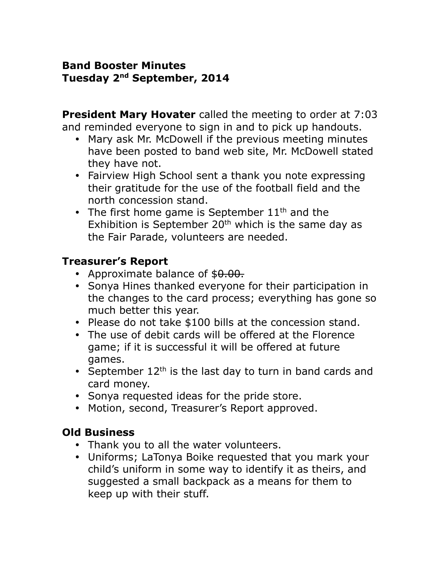#### **Band Booster Minutes Tuesday 2nd September, 2014**

**President Mary Hovater** called the meeting to order at 7:03 and reminded everyone to sign in and to pick up handouts.

- Mary ask Mr. McDowell if the previous meeting minutes have been posted to band web site, Mr. McDowell stated they have not.
- Fairview High School sent a thank you note expressing their gratitude for the use of the football field and the north concession stand.
- The first home game is September  $11<sup>th</sup>$  and the Exhibition is September  $20<sup>th</sup>$  which is the same day as the Fair Parade, volunteers are needed.

## **Treasurer's Report**

- Approximate balance of  $$0.00$ .
- Sonya Hines thanked everyone for their participation in the changes to the card process; everything has gone so much better this year.
- Please do not take \$100 bills at the concession stand.
- The use of debit cards will be offered at the Florence game; if it is successful it will be offered at future games.
- September  $12<sup>th</sup>$  is the last day to turn in band cards and card money.
- Sonya requested ideas for the pride store.
- Motion, second, Treasurer's Report approved.

# **Old Business**

- Thank you to all the water volunteers.
- Uniforms; LaTonya Boike requested that you mark your child's uniform in some way to identify it as theirs, and suggested a small backpack as a means for them to keep up with their stuff.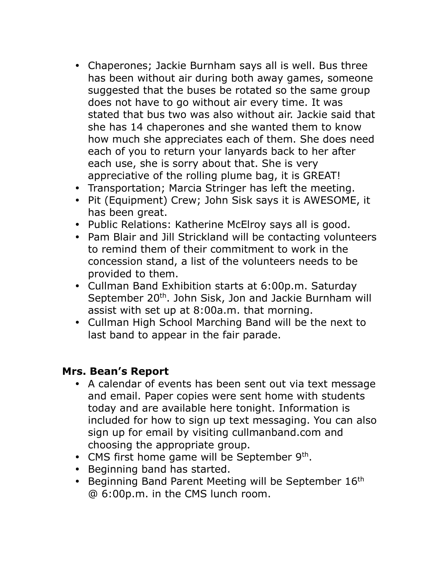- Chaperones; Jackie Burnham says all is well. Bus three has been without air during both away games, someone suggested that the buses be rotated so the same group does not have to go without air every time. It was stated that bus two was also without air. Jackie said that she has 14 chaperones and she wanted them to know how much she appreciates each of them. She does need each of you to return your lanyards back to her after each use, she is sorry about that. She is very appreciative of the rolling plume bag, it is GREAT!
- Transportation; Marcia Stringer has left the meeting.
- Pit (Equipment) Crew; John Sisk says it is AWESOME, it has been great.
- Public Relations: Katherine McElroy says all is good.
- Pam Blair and Jill Strickland will be contacting volunteers to remind them of their commitment to work in the concession stand, a list of the volunteers needs to be provided to them.
- Cullman Band Exhibition starts at 6:00p.m. Saturday September 20<sup>th</sup>. John Sisk, Jon and Jackie Burnham will assist with set up at 8:00a.m. that morning.
- Cullman High School Marching Band will be the next to last band to appear in the fair parade.

### **Mrs. Bean's Report**

- A calendar of events has been sent out via text message and email. Paper copies were sent home with students today and are available here tonight. Information is included for how to sign up text messaging. You can also sign up for email by visiting cullmanband.com and choosing the appropriate group.
- CMS first home game will be September  $9<sup>th</sup>$ .
- Beginning band has started.
- **Beginning Band Parent Meeting will be September**  $16<sup>th</sup>$ @ 6:00p.m. in the CMS lunch room.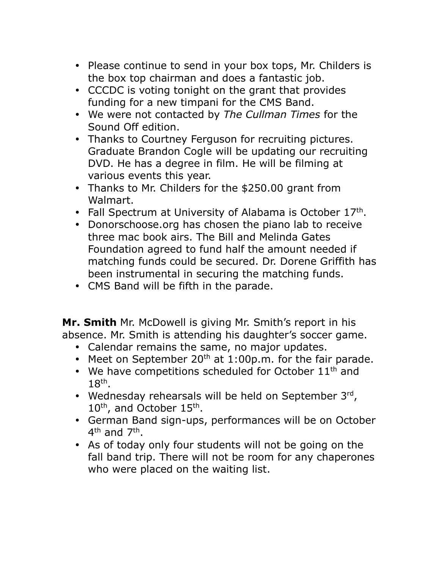- Please continue to send in your box tops, Mr. Childers is the box top chairman and does a fantastic job.
- CCCDC is voting tonight on the grant that provides funding for a new timpani for the CMS Band.
- We were not contacted by *The Cullman Times* for the Sound Off edition.
- Thanks to Courtney Ferguson for recruiting pictures. Graduate Brandon Cogle will be updating our recruiting DVD. He has a degree in film. He will be filming at various events this year.
- Thanks to Mr. Childers for the \$250.00 grant from Walmart.
- Fall Spectrum at University of Alabama is October  $17<sup>th</sup>$ .
- Donorschoose.org has chosen the piano lab to receive three mac book airs. The Bill and Melinda Gates Foundation agreed to fund half the amount needed if matching funds could be secured. Dr. Dorene Griffith has been instrumental in securing the matching funds.
- CMS Band will be fifth in the parade.

**Mr. Smith** Mr. McDowell is giving Mr. Smith's report in his absence. Mr. Smith is attending his daughter's soccer game.

- Calendar remains the same, no major updates.
- Meet on September  $20<sup>th</sup>$  at 1:00p.m. for the fair parade.
- $\bullet$  We have competitions scheduled for October 11<sup>th</sup> and 18th .
- Wednesday rehearsals will be held on September 3rd, 10<sup>th</sup>, and October 15<sup>th</sup>.
- German Band sign-ups, performances will be on October 4<sup>th</sup> and 7<sup>th</sup>.
- As of today only four students will not be going on the fall band trip. There will not be room for any chaperones who were placed on the waiting list.